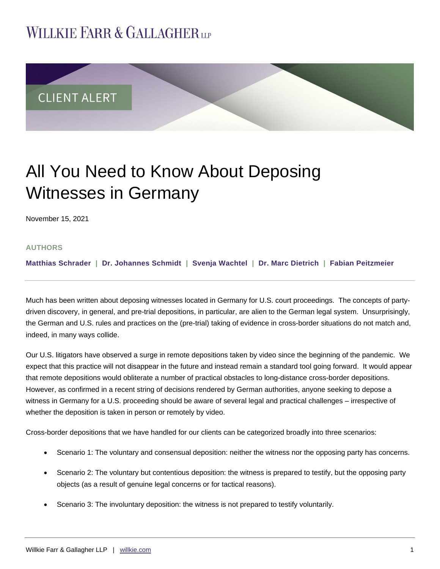## **WILLKIE FARR & GALLAGHERUP**



# All You Need to Know About Deposing Witnesses in Germany

November 15, 2021

## **AUTHORS**

**[Matthias Schrader](https://www.willkie.com/professionals/s/schrader-matthias) | [Dr. Johannes Schmidt](https://www.willkie.com/professionals/s/schmidt-johannes) | [Svenja Wachtel](https://www.willkie.com/professionals/w/wachtel-svenja) | [Dr. Marc Dietrich](https://www.willkie.com/professionals/d/dietrich-marc) | [Fabian Peitzmeier](https://www.willkie.com/professionals/p/peitzmeier-fabian)**

Much has been written about deposing witnesses located in Germany for U.S. court proceedings. The concepts of partydriven discovery, in general, and pre-trial depositions, in particular, are alien to the German legal system. Unsurprisingly, the German and U.S. rules and practices on the (pre-trial) taking of evidence in cross-border situations do not match and, indeed, in many ways collide.

Our U.S. litigators have observed a surge in remote depositions taken by video since the beginning of the pandemic. We expect that this practice will not disappear in the future and instead remain a standard tool going forward. It would appear that remote depositions would obliterate a number of practical obstacles to long-distance cross-border depositions. However, as confirmed in a recent string of decisions rendered by German authorities, anyone seeking to depose a witness in Germany for a U.S. proceeding should be aware of several legal and practical challenges – irrespective of whether the deposition is taken in person or remotely by video.

Cross-border depositions that we have handled for our clients can be categorized broadly into three scenarios:

- Scenario 1: The voluntary and consensual deposition: neither the witness nor the opposing party has concerns.
- Scenario 2: The voluntary but contentious deposition: the witness is prepared to testify, but the opposing party objects (as a result of genuine legal concerns or for tactical reasons).
- Scenario 3: The involuntary deposition: the witness is not prepared to testify voluntarily.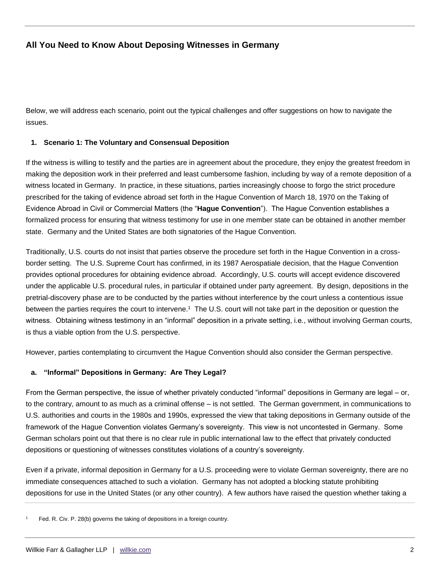Below, we will address each scenario, point out the typical challenges and offer suggestions on how to navigate the issues.

## **1. Scenario 1: The Voluntary and Consensual Deposition**

If the witness is willing to testify and the parties are in agreement about the procedure, they enjoy the greatest freedom in making the deposition work in their preferred and least cumbersome fashion, including by way of a remote deposition of a witness located in Germany. In practice, in these situations, parties increasingly choose to forgo the strict procedure prescribed for the taking of evidence abroad set forth in the Hague Convention of March 18, 1970 on the Taking of Evidence Abroad in Civil or Commercial Matters (the "**Hague Convention**"). The Hague Convention establishes a formalized process for ensuring that witness testimony for use in one member state can be obtained in another member state. Germany and the United States are both signatories of the Hague Convention.

Traditionally, U.S. courts do not insist that parties observe the procedure set forth in the Hague Convention in a crossborder setting. The U.S. Supreme Court has confirmed, in its 1987 Aerospatiale decision, that the Hague Convention provides optional procedures for obtaining evidence abroad. Accordingly, U.S. courts will accept evidence discovered under the applicable U.S. procedural rules, in particular if obtained under party agreement. By design, depositions in the pretrial-discovery phase are to be conducted by the parties without interference by the court unless a contentious issue between the parties requires the court to intervene.<sup>1</sup> The U.S. court will not take part in the deposition or question the witness. Obtaining witness testimony in an "informal" deposition in a private setting, i.e*.*, without involving German courts, is thus a viable option from the U.S. perspective.

However, parties contemplating to circumvent the Hague Convention should also consider the German perspective.

## **a. "Informal" Depositions in Germany: Are They Legal?**

From the German perspective, the issue of whether privately conducted "informal" depositions in Germany are legal – or, to the contrary, amount to as much as a criminal offense – is not settled. The German government, in communications to U.S. authorities and courts in the 1980s and 1990s, expressed the view that taking depositions in Germany outside of the framework of the Hague Convention violates Germany's sovereignty. This view is not uncontested in Germany. Some German scholars point out that there is no clear rule in public international law to the effect that privately conducted depositions or questioning of witnesses constitutes violations of a country's sovereignty.

Even if a private, informal deposition in Germany for a U.S. proceeding were to violate German sovereignty, there are no immediate consequences attached to such a violation. Germany has not adopted a blocking statute prohibiting depositions for use in the United States (or any other country). A few authors have raised the question whether taking a

Fed. R. Civ. P. 28(b) governs the taking of depositions in a foreign country.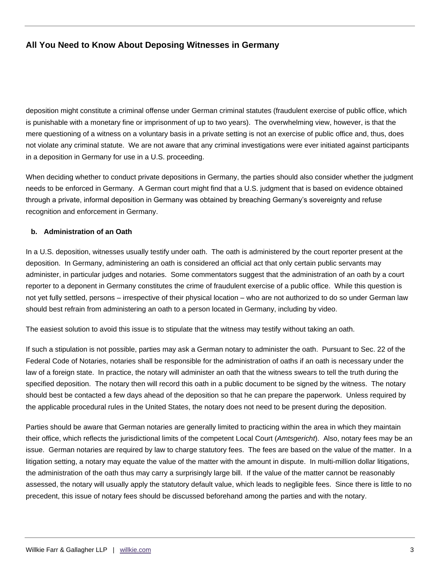deposition might constitute a criminal offense under German criminal statutes (fraudulent exercise of public office, which is punishable with a monetary fine or imprisonment of up to two years). The overwhelming view, however, is that the mere questioning of a witness on a voluntary basis in a private setting is not an exercise of public office and, thus, does not violate any criminal statute. We are not aware that any criminal investigations were ever initiated against participants in a deposition in Germany for use in a U.S. proceeding.

When deciding whether to conduct private depositions in Germany, the parties should also consider whether the judgment needs to be enforced in Germany. A German court might find that a U.S. judgment that is based on evidence obtained through a private, informal deposition in Germany was obtained by breaching Germany's sovereignty and refuse recognition and enforcement in Germany.

#### **b. Administration of an Oath**

In a U.S. deposition, witnesses usually testify under oath. The oath is administered by the court reporter present at the deposition. In Germany, administering an oath is considered an official act that only certain public servants may administer, in particular judges and notaries. Some commentators suggest that the administration of an oath by a court reporter to a deponent in Germany constitutes the crime of fraudulent exercise of a public office. While this question is not yet fully settled, persons – irrespective of their physical location – who are not authorized to do so under German law should best refrain from administering an oath to a person located in Germany, including by video.

The easiest solution to avoid this issue is to stipulate that the witness may testify without taking an oath.

If such a stipulation is not possible, parties may ask a German notary to administer the oath. Pursuant to Sec. 22 of the Federal Code of Notaries, notaries shall be responsible for the administration of oaths if an oath is necessary under the law of a foreign state. In practice, the notary will administer an oath that the witness swears to tell the truth during the specified deposition. The notary then will record this oath in a public document to be signed by the witness. The notary should best be contacted a few days ahead of the deposition so that he can prepare the paperwork. Unless required by the applicable procedural rules in the United States, the notary does not need to be present during the deposition.

Parties should be aware that German notaries are generally limited to practicing within the area in which they maintain their office, which reflects the jurisdictional limits of the competent Local Court (*Amtsgericht*). Also, notary fees may be an issue. German notaries are required by law to charge statutory fees. The fees are based on the value of the matter. In a litigation setting, a notary may equate the value of the matter with the amount in dispute. In multi-million dollar litigations, the administration of the oath thus may carry a surprisingly large bill. If the value of the matter cannot be reasonably assessed, the notary will usually apply the statutory default value, which leads to negligible fees. Since there is little to no precedent, this issue of notary fees should be discussed beforehand among the parties and with the notary.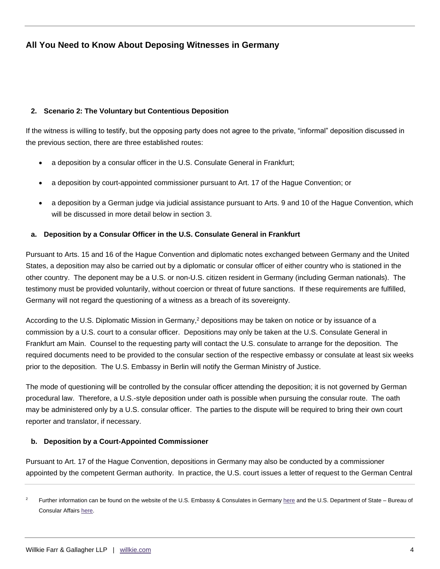## **2. Scenario 2: The Voluntary but Contentious Deposition**

If the witness is willing to testify, but the opposing party does not agree to the private, "informal" deposition discussed in the previous section, there are three established routes:

- a deposition by a consular officer in the U.S. Consulate General in Frankfurt;
- a deposition by court-appointed commissioner pursuant to Art. 17 of the Hague Convention; or
- a deposition by a German judge via judicial assistance pursuant to Arts. 9 and 10 of the Hague Convention, which will be discussed in more detail below in section 3.

## **a. Deposition by a Consular Officer in the U.S. Consulate General in Frankfurt**

Pursuant to Arts. 15 and 16 of the Hague Convention and diplomatic notes exchanged between Germany and the United States, a deposition may also be carried out by a diplomatic or consular officer of either country who is stationed in the other country. The deponent may be a U.S. or non-U.S. citizen resident in Germany (including German nationals). The testimony must be provided voluntarily, without coercion or threat of future sanctions. If these requirements are fulfilled, Germany will not regard the questioning of a witness as a breach of its sovereignty.

According to the U.S. Diplomatic Mission in Germany,<sup>2</sup> depositions may be taken on notice or by issuance of a commission by a U.S. court to a consular officer. Depositions may only be taken at the U.S. Consulate General in Frankfurt am Main. Counsel to the requesting party will contact the U.S. consulate to arrange for the deposition. The required documents need to be provided to the consular section of the respective embassy or consulate at least six weeks prior to the deposition. The U.S. Embassy in Berlin will notify the German Ministry of Justice.

The mode of questioning will be controlled by the consular officer attending the deposition; it is not governed by German procedural law. Therefore, a U.S.-style deposition under oath is possible when pursuing the consular route. The oath may be administered only by a U.S. consular officer. The parties to the dispute will be required to bring their own court reporter and translator, if necessary.

## **b. Deposition by a Court-Appointed Commissioner**

Pursuant to Art. 17 of the Hague Convention, depositions in Germany may also be conducted by a commissioner appointed by the competent German authority. In practice, the U.S. court issues a letter of request to the German Central

<sup>&</sup>lt;sup>2</sup> Further information can be found on the website of the U.S. Embassy & Consulates in German[y here](https://de.usembassy.gov/judicial-assistance/) and the U.S. Department of State – Bureau of Consular Affairs [here.](https://travel.state.gov/content/travel/en/legal/Judicial-Assistance-Country-Information/Germany.html)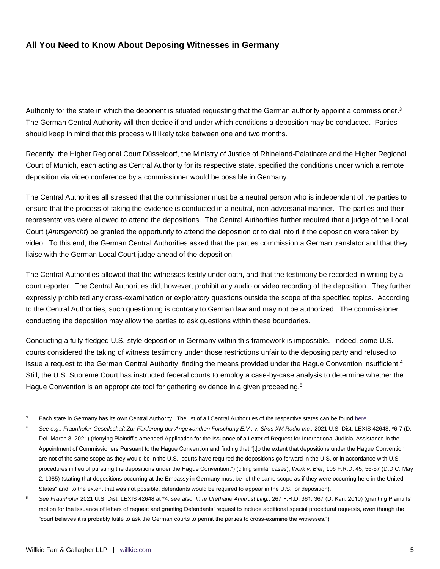Authority for the state in which the deponent is situated requesting that the German authority appoint a commissioner. $3$ The German Central Authority will then decide if and under which conditions a deposition may be conducted. Parties should keep in mind that this process will likely take between one and two months.

Recently, the Higher Regional Court Düsseldorf, the Ministry of Justice of Rhineland-Palatinate and the Higher Regional Court of Munich, each acting as Central Authority for its respective state, specified the conditions under which a remote deposition via video conference by a commissioner would be possible in Germany.

The Central Authorities all stressed that the commissioner must be a neutral person who is independent of the parties to ensure that the process of taking the evidence is conducted in a neutral, non-adversarial manner. The parties and their representatives were allowed to attend the depositions. The Central Authorities further required that a judge of the Local Court (*Amtsgericht*) be granted the opportunity to attend the deposition or to dial into it if the deposition were taken by video. To this end, the German Central Authorities asked that the parties commission a German translator and that they liaise with the German Local Court judge ahead of the deposition.

The Central Authorities allowed that the witnesses testify under oath, and that the testimony be recorded in writing by a court reporter. The Central Authorities did, however, prohibit any audio or video recording of the deposition. They further expressly prohibited any cross-examination or exploratory questions outside the scope of the specified topics. According to the Central Authorities, such questioning is contrary to German law and may not be authorized. The commissioner conducting the deposition may allow the parties to ask questions within these boundaries.

Conducting a fully-fledged U.S.-style deposition in Germany within this framework is impossible. Indeed, some U.S. courts considered the taking of witness testimony under those restrictions unfair to the deposing party and refused to issue a request to the German Central Authority, finding the means provided under the Hague Convention insufficient.<sup>4</sup> Still, the U.S. Supreme Court has instructed federal courts to employ a case-by-case analysis to determine whether the Hague Convention is an appropriate tool for gathering evidence in a given proceeding.<sup>5</sup>

- Each state in Germany has its own Central Authority. The list of all Central Authorities of the respective states can be found [here.](https://assets.hcch.net/docs/569686ff-fc1e-4093-8ab5-f753987d83d3.pdf)
- <sup>4</sup> *See e.g., Fraunhofer-Gesellschaft Zur Förderung der Angewandten Forschung E.V . v. Sirus XM Radio Inc.,* 2021 U.S. Dist. LEXIS 42648, \*6-7 (D. Del. March 8, 2021) (denying Plaintiff's amended Application for the Issuance of a Letter of Request for International Judicial Assistance in the Appointment of Commissioners Pursuant to the Hague Convention and finding that "[t]o the extent that depositions under the Hague Convention are not of the same scope as they would be in the U.S., courts have required the depositions go forward in the U.S. or in accordance with U.S. procedures in lieu of pursuing the depositions under the Hague Convention.") (citing similar cases); *Work v. Bier,* 106 F.R.D. 45, 56-57 (D.D.C. May 2, 1985) (stating that depositions occurring at the Embassy in Germany must be "of the same scope as if they were occurring here in the United States" and, to the extent that was not possible, defendants would be required to appear in the U.S. for deposition).
- <sup>5</sup> *See Fraunhofer* 2021 U.S. Dist. LEXIS 42648 at \*4*; see also, In re Urethane Antitrust Litig.*, 267 F.R.D. 361, 367 (D. Kan. 2010) (granting Plaintiffs' motion for the issuance of letters of request and granting Defendants' request to include additional special procedural requests, even though the "court believes it is probably futile to ask the German courts to permit the parties to cross-examine the witnesses.")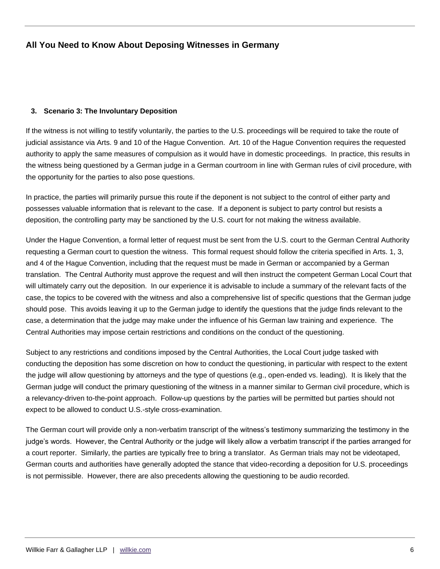#### **3. Scenario 3: The Involuntary Deposition**

If the witness is not willing to testify voluntarily, the parties to the U.S. proceedings will be required to take the route of judicial assistance via Arts. 9 and 10 of the Hague Convention. Art. 10 of the Hague Convention requires the requested authority to apply the same measures of compulsion as it would have in domestic proceedings. In practice, this results in the witness being questioned by a German judge in a German courtroom in line with German rules of civil procedure, with the opportunity for the parties to also pose questions.

In practice, the parties will primarily pursue this route if the deponent is not subject to the control of either party and possesses valuable information that is relevant to the case. If a deponent is subject to party control but resists a deposition, the controlling party may be sanctioned by the U.S. court for not making the witness available.

Under the Hague Convention, a formal letter of request must be sent from the U.S. court to the German Central Authority requesting a German court to question the witness. This formal request should follow the criteria specified in Arts. 1, 3, and 4 of the Hague Convention, including that the request must be made in German or accompanied by a German translation. The Central Authority must approve the request and will then instruct the competent German Local Court that will ultimately carry out the deposition. In our experience it is advisable to include a summary of the relevant facts of the case, the topics to be covered with the witness and also a comprehensive list of specific questions that the German judge should pose. This avoids leaving it up to the German judge to identify the questions that the judge finds relevant to the case, a determination that the judge may make under the influence of his German law training and experience. The Central Authorities may impose certain restrictions and conditions on the conduct of the questioning.

Subject to any restrictions and conditions imposed by the Central Authorities, the Local Court judge tasked with conducting the deposition has some discretion on how to conduct the questioning, in particular with respect to the extent the judge will allow questioning by attorneys and the type of questions (e.g., open-ended vs. leading). It is likely that the German judge will conduct the primary questioning of the witness in a manner similar to German civil procedure, which is a relevancy-driven to-the-point approach. Follow-up questions by the parties will be permitted but parties should not expect to be allowed to conduct U.S.-style cross-examination.

The German court will provide only a non-verbatim transcript of the witness's testimony summarizing the testimony in the judge's words. However, the Central Authority or the judge will likely allow a verbatim transcript if the parties arranged for a court reporter. Similarly, the parties are typically free to bring a translator. As German trials may not be videotaped, German courts and authorities have generally adopted the stance that video-recording a deposition for U.S. proceedings is not permissible. However, there are also precedents allowing the questioning to be audio recorded.